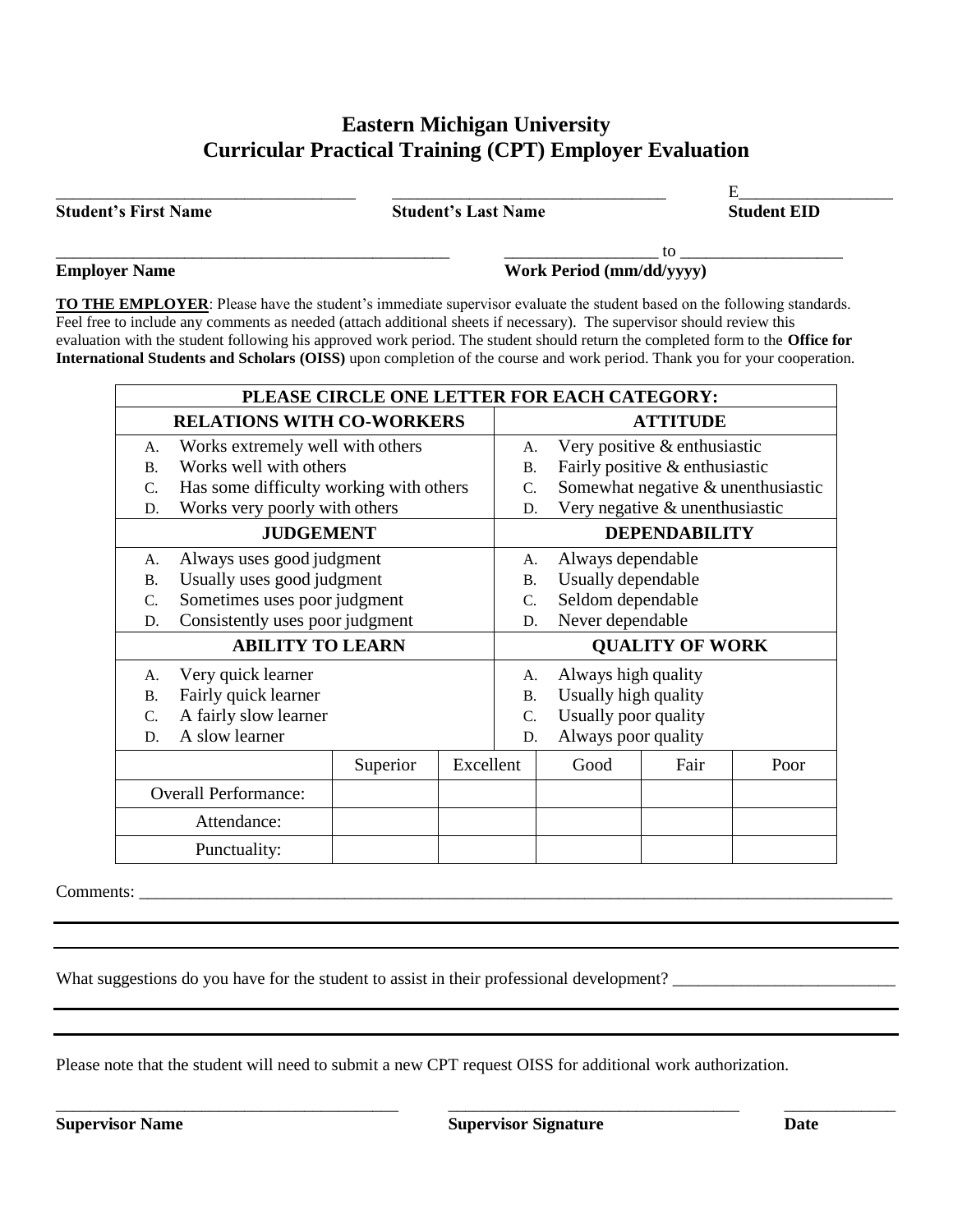## **Eastern Michigan University Curricular Practical Training (CPT) Employer Evaluation**

**Student's First Name Student's Last Name Student EID**

\_\_\_\_\_\_\_\_\_\_\_\_\_\_\_\_\_\_\_\_\_\_\_\_\_\_\_\_\_\_\_\_\_\_\_ \_\_\_\_\_\_\_\_\_\_\_\_\_\_\_\_\_\_\_\_\_\_\_\_\_\_\_\_\_\_\_\_ E\_\_\_\_\_\_\_\_\_\_\_\_\_\_\_\_\_\_

 $\hskip1cm \overbrace{~~}$  to  $\hskip1cm \overbrace{~~}$ **Employer Name Work Period (mm/dd/yyyy)** 

**TO THE EMPLOYER**: Please have the student's immediate supervisor evaluate the student based on the following standards. Feel free to include any comments as needed (attach additional sheets if necessary). The supervisor should review this evaluation with the student following his approved work period. The student should return the completed form to the **Office for International Students and Scholars (OISS)** upon completion of the course and work period. Thank you for your cooperation.

| PLEASE CIRCLE ONE LETTER FOR EACH CATEGORY: |                                         |          |                        |                                |                                    |      |      |  |  |
|---------------------------------------------|-----------------------------------------|----------|------------------------|--------------------------------|------------------------------------|------|------|--|--|
| <b>RELATIONS WITH CO-WORKERS</b>            |                                         |          |                        | <b>ATTITUDE</b>                |                                    |      |      |  |  |
| A.                                          | Works extremely well with others        |          |                        | А.                             | Very positive & enthusiastic       |      |      |  |  |
| $\mathbf{B}$ .                              | Works well with others                  |          |                        | <b>B.</b>                      | Fairly positive & enthusiastic     |      |      |  |  |
| $\mathcal{C}$ .                             | Has some difficulty working with others |          |                        | $\mathcal{C}$ .                | Somewhat negative & unenthusiastic |      |      |  |  |
| D.                                          | Works very poorly with others           |          | D.                     | Very negative & unenthusiastic |                                    |      |      |  |  |
| <b>JUDGEMENT</b>                            |                                         |          | <b>DEPENDABILITY</b>   |                                |                                    |      |      |  |  |
| A.                                          | Always uses good judgment               |          |                        | А.                             | Always dependable                  |      |      |  |  |
| <b>B.</b>                                   | Usually uses good judgment              |          |                        | <b>B.</b>                      | Usually dependable                 |      |      |  |  |
| C.                                          | Sometimes uses poor judgment            |          |                        | C.                             | Seldom dependable                  |      |      |  |  |
| D.                                          | Consistently uses poor judgment         |          |                        | D.                             | Never dependable                   |      |      |  |  |
| <b>ABILITY TO LEARN</b>                     |                                         |          | <b>QUALITY OF WORK</b> |                                |                                    |      |      |  |  |
| A.                                          | Very quick learner                      |          |                        |                                | Always high quality                |      |      |  |  |
| Fairly quick learner<br><b>B.</b>           |                                         |          | Β.                     | Usually high quality           |                                    |      |      |  |  |
| $\mathcal{C}$ .                             | A fairly slow learner                   |          |                        | C.                             | Usually poor quality               |      |      |  |  |
| D.                                          | A slow learner                          |          |                        | D.                             | Always poor quality                |      |      |  |  |
|                                             |                                         | Superior | Excellent              |                                | Good                               | Fair | Poor |  |  |
|                                             | <b>Overall Performance:</b>             |          |                        |                                |                                    |      |      |  |  |
|                                             | Attendance:                             |          |                        |                                |                                    |      |      |  |  |
|                                             | Punctuality:                            |          |                        |                                |                                    |      |      |  |  |

Comments:

What suggestions do you have for the student to assist in their professional development?

Please note that the student will need to submit a new CPT request OISS for additional work authorization.

\_\_\_\_\_\_\_\_\_\_\_\_\_\_\_\_\_\_\_\_\_\_\_\_\_\_\_\_\_\_\_\_\_\_\_\_\_\_\_\_ \_\_\_\_\_\_\_\_\_\_\_\_\_\_\_\_\_\_\_\_\_\_\_\_\_\_\_\_\_\_\_\_\_\_ \_\_\_\_\_\_\_\_\_\_\_\_\_